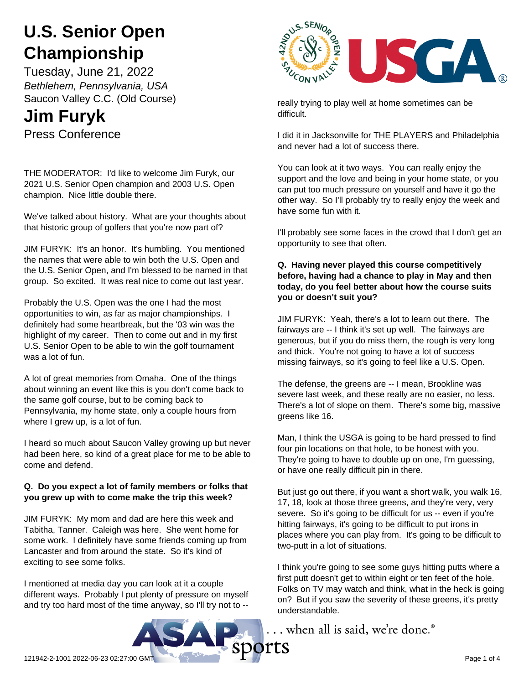# **U.S. Senior Open Championship**

Tuesday, June 21, 2022 *Bethlehem, Pennsylvania, USA* Saucon Valley C.C. (Old Course)

# **Jim Furyk**

Press Conference

THE MODERATOR: I'd like to welcome Jim Furyk, our 2021 U.S. Senior Open champion and 2003 U.S. Open champion. Nice little double there.

We've talked about history. What are your thoughts about that historic group of golfers that you're now part of?

JIM FURYK: It's an honor. It's humbling. You mentioned the names that were able to win both the U.S. Open and the U.S. Senior Open, and I'm blessed to be named in that group. So excited. It was real nice to come out last year.

Probably the U.S. Open was the one I had the most opportunities to win, as far as major championships. I definitely had some heartbreak, but the '03 win was the highlight of my career. Then to come out and in my first U.S. Senior Open to be able to win the golf tournament was a lot of fun.

A lot of great memories from Omaha. One of the things about winning an event like this is you don't come back to the same golf course, but to be coming back to Pennsylvania, my home state, only a couple hours from where I grew up, is a lot of fun.

I heard so much about Saucon Valley growing up but never had been here, so kind of a great place for me to be able to come and defend.

# **Q. Do you expect a lot of family members or folks that you grew up with to come make the trip this week?**

JIM FURYK: My mom and dad are here this week and Tabitha, Tanner. Caleigh was here. She went home for some work. I definitely have some friends coming up from Lancaster and from around the state. So it's kind of exciting to see some folks.

I mentioned at media day you can look at it a couple different ways. Probably I put plenty of pressure on myself and try too hard most of the time anyway, so I'll try not to --



really trying to play well at home sometimes can be difficult.

I did it in Jacksonville for THE PLAYERS and Philadelphia and never had a lot of success there.

You can look at it two ways. You can really enjoy the support and the love and being in your home state, or you can put too much pressure on yourself and have it go the other way. So I'll probably try to really enjoy the week and have some fun with it.

I'll probably see some faces in the crowd that I don't get an opportunity to see that often.

#### **Q. Having never played this course competitively before, having had a chance to play in May and then today, do you feel better about how the course suits you or doesn't suit you?**

JIM FURYK: Yeah, there's a lot to learn out there. The fairways are -- I think it's set up well. The fairways are generous, but if you do miss them, the rough is very long and thick. You're not going to have a lot of success missing fairways, so it's going to feel like a U.S. Open.

The defense, the greens are -- I mean, Brookline was severe last week, and these really are no easier, no less. There's a lot of slope on them. There's some big, massive greens like 16.

Man, I think the USGA is going to be hard pressed to find four pin locations on that hole, to be honest with you. They're going to have to double up on one, I'm guessing, or have one really difficult pin in there.

But just go out there, if you want a short walk, you walk 16, 17, 18, look at those three greens, and they're very, very severe. So it's going to be difficult for us -- even if you're hitting fairways, it's going to be difficult to put irons in places where you can play from. It's going to be difficult to two-putt in a lot of situations.

I think you're going to see some guys hitting putts where a first putt doesn't get to within eight or ten feet of the hole. Folks on TV may watch and think, what in the heck is going on? But if you saw the severity of these greens, it's pretty understandable.

... when all is said, we're done.<sup>®</sup>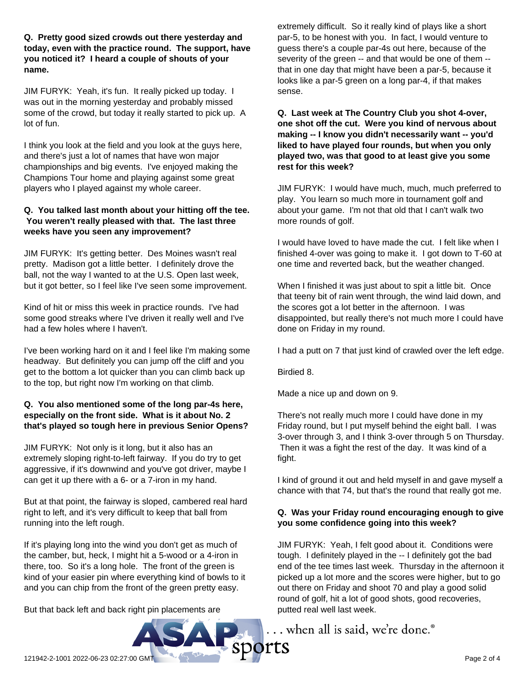**Q. Pretty good sized crowds out there yesterday and today, even with the practice round. The support, have you noticed it? I heard a couple of shouts of your name.**

JIM FURYK: Yeah, it's fun. It really picked up today. I was out in the morning yesterday and probably missed some of the crowd, but today it really started to pick up. A lot of fun.

I think you look at the field and you look at the guys here, and there's just a lot of names that have won major championships and big events. I've enjoyed making the Champions Tour home and playing against some great players who I played against my whole career.

#### **Q. You talked last month about your hitting off the tee. You weren't really pleased with that. The last three weeks have you seen any improvement?**

JIM FURYK: It's getting better. Des Moines wasn't real pretty. Madison got a little better. I definitely drove the ball, not the way I wanted to at the U.S. Open last week, but it got better, so I feel like I've seen some improvement.

Kind of hit or miss this week in practice rounds. I've had some good streaks where I've driven it really well and I've had a few holes where I haven't.

I've been working hard on it and I feel like I'm making some headway. But definitely you can jump off the cliff and you get to the bottom a lot quicker than you can climb back up to the top, but right now I'm working on that climb.

### **Q. You also mentioned some of the long par-4s here, especially on the front side. What is it about No. 2 that's played so tough here in previous Senior Opens?**

JIM FURYK: Not only is it long, but it also has an extremely sloping right-to-left fairway. If you do try to get aggressive, if it's downwind and you've got driver, maybe I can get it up there with a 6- or a 7-iron in my hand.

But at that point, the fairway is sloped, cambered real hard right to left, and it's very difficult to keep that ball from running into the left rough.

If it's playing long into the wind you don't get as much of the camber, but, heck, I might hit a 5-wood or a 4-iron in there, too. So it's a long hole. The front of the green is kind of your easier pin where everything kind of bowls to it and you can chip from the front of the green pretty easy.

But that back left and back right pin placements are

extremely difficult. So it really kind of plays like a short par-5, to be honest with you. In fact, I would venture to guess there's a couple par-4s out here, because of the severity of the green -- and that would be one of them - that in one day that might have been a par-5, because it looks like a par-5 green on a long par-4, if that makes sense.

**Q. Last week at The Country Club you shot 4-over, one shot off the cut. Were you kind of nervous about making -- I know you didn't necessarily want -- you'd liked to have played four rounds, but when you only played two, was that good to at least give you some rest for this week?**

JIM FURYK: I would have much, much, much preferred to play. You learn so much more in tournament golf and about your game. I'm not that old that I can't walk two more rounds of golf.

I would have loved to have made the cut. I felt like when I finished 4-over was going to make it. I got down to T-60 at one time and reverted back, but the weather changed.

When I finished it was just about to spit a little bit. Once that teeny bit of rain went through, the wind laid down, and the scores got a lot better in the afternoon. I was disappointed, but really there's not much more I could have done on Friday in my round.

I had a putt on 7 that just kind of crawled over the left edge.

Birdied 8.

Made a nice up and down on 9.

There's not really much more I could have done in my Friday round, but I put myself behind the eight ball. I was 3-over through 3, and I think 3-over through 5 on Thursday. Then it was a fight the rest of the day. It was kind of a fight.

I kind of ground it out and held myself in and gave myself a chance with that 74, but that's the round that really got me.

# **Q. Was your Friday round encouraging enough to give you some confidence going into this week?**

JIM FURYK: Yeah, I felt good about it. Conditions were tough. I definitely played in the -- I definitely got the bad end of the tee times last week. Thursday in the afternoon it picked up a lot more and the scores were higher, but to go out there on Friday and shoot 70 and play a good solid round of golf, hit a lot of good shots, good recoveries, putted real well last week.

... when all is said, we're done.<sup>®</sup>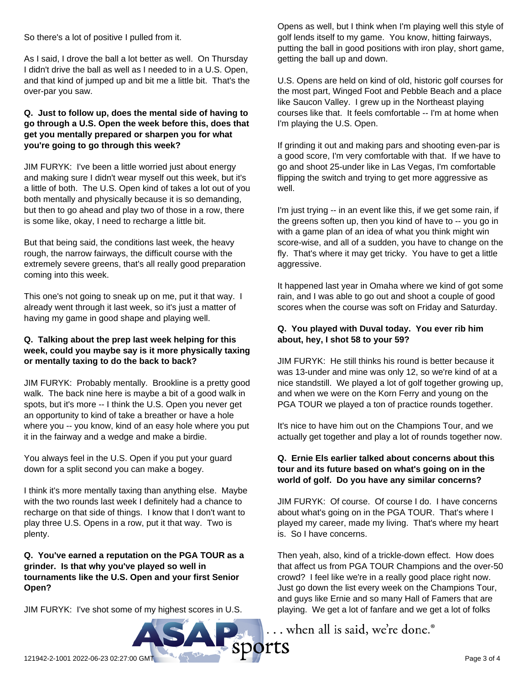JIM FURYK: Probably mentally. Brookline is a pretty good

coming into this week.

walk. The back nine here is maybe a bit of a good walk in spots, but it's more -- I think the U.S. Open you never get an opportunity to kind of take a breather or have a hole where you -- you know, kind of an easy hole where you put it in the fairway and a wedge and make a birdie.

So there's a lot of positive I pulled from it.

**you're going to go through this week?**

over-par you saw.

As I said, I drove the ball a lot better as well. On Thursday I didn't drive the ball as well as I needed to in a U.S. Open, and that kind of jumped up and bit me a little bit. That's the

**Q. Just to follow up, does the mental side of having to go through a U.S. Open the week before this, does that get you mentally prepared or sharpen you for what**

JIM FURYK: I've been a little worried just about energy and making sure I didn't wear myself out this week, but it's a little of both. The U.S. Open kind of takes a lot out of you both mentally and physically because it is so demanding, but then to go ahead and play two of those in a row, there

But that being said, the conditions last week, the heavy rough, the narrow fairways, the difficult course with the extremely severe greens, that's all really good preparation

This one's not going to sneak up on me, put it that way. I already went through it last week, so it's just a matter of having my game in good shape and playing well.

**Q. Talking about the prep last week helping for this week, could you maybe say is it more physically taxing**

**or mentally taxing to do the back to back?**

is some like, okay, I need to recharge a little bit.

You always feel in the U.S. Open if you put your guard down for a split second you can make a bogey.

I think it's more mentally taxing than anything else. Maybe with the two rounds last week I definitely had a chance to recharge on that side of things. I know that I don't want to play three U.S. Opens in a row, put it that way. Two is plenty.

**Q. You've earned a reputation on the PGA TOUR as a grinder. Is that why you've played so well in tournaments like the U.S. Open and your first Senior Open?**

JIM FURYK: I've shot some of my highest scores in U.S.

Opens as well, but I think when I'm playing well this style of golf lends itself to my game. You know, hitting fairways, putting the ball in good positions with iron play, short game, getting the ball up and down.

U.S. Opens are held on kind of old, historic golf courses for the most part, Winged Foot and Pebble Beach and a place like Saucon Valley. I grew up in the Northeast playing courses like that. It feels comfortable -- I'm at home when I'm playing the U.S. Open.

If grinding it out and making pars and shooting even-par is a good score, I'm very comfortable with that. If we have to go and shoot 25-under like in Las Vegas, I'm comfortable flipping the switch and trying to get more aggressive as well.

I'm just trying -- in an event like this, if we get some rain, if the greens soften up, then you kind of have to -- you go in with a game plan of an idea of what you think might win score-wise, and all of a sudden, you have to change on the fly. That's where it may get tricky. You have to get a little aggressive.

It happened last year in Omaha where we kind of got some rain, and I was able to go out and shoot a couple of good scores when the course was soft on Friday and Saturday.

#### **Q. You played with Duval today. You ever rib him about, hey, I shot 58 to your 59?**

JIM FURYK: He still thinks his round is better because it was 13-under and mine was only 12, so we're kind of at a nice standstill. We played a lot of golf together growing up, and when we were on the Korn Ferry and young on the PGA TOUR we played a ton of practice rounds together.

It's nice to have him out on the Champions Tour, and we actually get together and play a lot of rounds together now.

#### **Q. Ernie Els earlier talked about concerns about this tour and its future based on what's going on in the world of golf. Do you have any similar concerns?**

JIM FURYK: Of course. Of course I do. I have concerns about what's going on in the PGA TOUR. That's where I played my career, made my living. That's where my heart is. So I have concerns.

Then yeah, also, kind of a trickle-down effect. How does that affect us from PGA TOUR Champions and the over-50 crowd? I feel like we're in a really good place right now. Just go down the list every week on the Champions Tour, and guys like Ernie and so many Hall of Famers that are playing. We get a lot of fanfare and we get a lot of folks

... when all is said, we're done.®